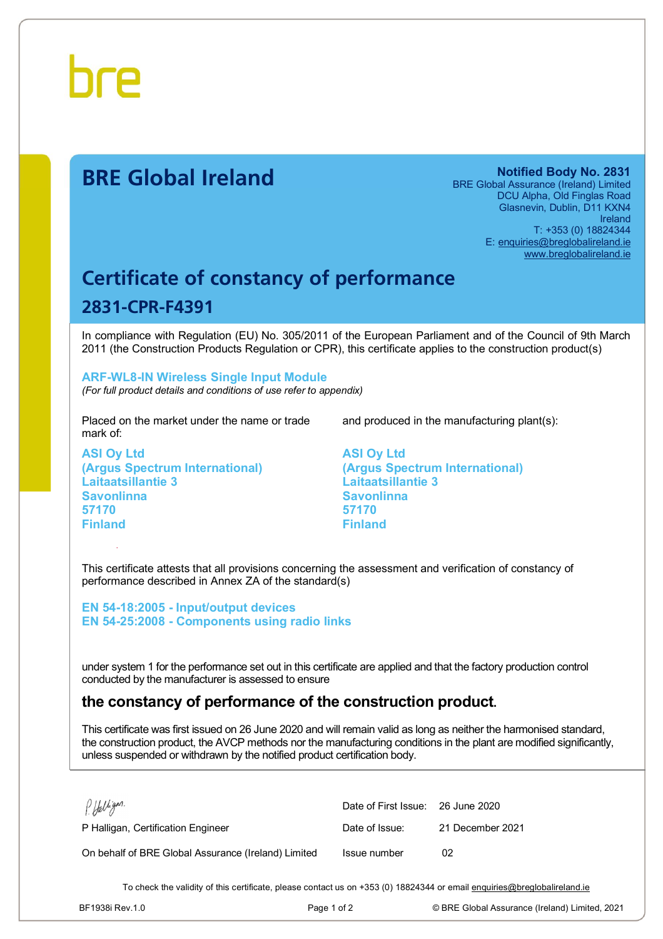

# **BRE Global Ireland Notified Body No. 2831**

BRE Global Assurance (Ireland) Limited DCU Alpha, Old Finglas Road Glasnevin, Dublin, D11 KXN4 Ireland T: +353 (0) 18824344 E: [enquiries@breglobalireland.ie](mailto:enquiries@breglobalireland.ie) [www.breglobalireland.ie](http://www.breglobalireland.ie)

# **Certificate of constancy of performance 2831-CPR-F4391**

In compliance with Regulation (EU) No. 305/2011 of the European Parliament and of the Council of 9th March 2011 (the Construction Products Regulation or CPR), this certificate applies to the construction product(s)

## **ARF-WL8-IN Wireless Single Input Module**

*(For full product details and conditions of use refer to appendix)* 

Placed on the market under the name or trade mark of:

**ASI Oy Ltd (Argus Spectrum International) Laitaatsillantie 3 Savonlinna 57170 Finland** 

and produced in the manufacturing plant(s):

**ASI Oy Ltd (Argus Spectrum International) Laitaatsillantie 3 Savonlinna 57170 Finland** 

This certificate attests that all provisions concerning the assessment and verification of constancy of performance described in Annex ZA of the standard(s)

**EN 54-18:2005 - Input/output devices EN 54-25:2008 - Components using radio links** 

under system 1 for the performance set out in this certificate are applied and that the factory production control conducted by the manufacturer is assessed to ensure

# **the constancy of performance of the construction product.**

This certificate was first issued on 26 June 2020 and will remain valid as long as neither the harmonised standard, the construction product, the AVCP methods nor the manufacturing conditions in the plant are modified significantly, unless suspended or withdrawn by the notified product certification body.

| P Halligan.                                         | Date of First Issue: 26 June 2020 |                  |
|-----------------------------------------------------|-----------------------------------|------------------|
| P Halligan, Certification Engineer                  | Date of Issue:                    | 21 December 2021 |
| On behalf of BRE Global Assurance (Ireland) Limited | Issue number                      | 02               |

To check the validity of this certificate, please contact us on +353 (0) 18824344 or email [enquiries@breglobalireland.ie](mailto:enquiries@breglobalireland.ie)